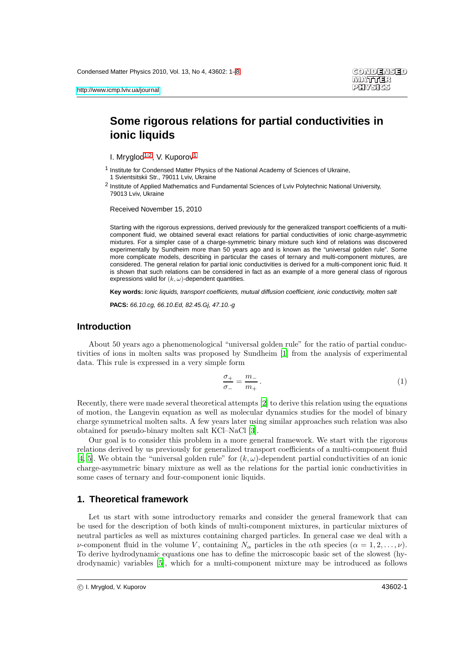# **Some rigorous relations for partial conductivities in ionic liquids**

<span id="page-0-0"></span>I. Mryglod<sup>[1,](#page-0-0)[2](#page-0-1)</sup>, V. Kuporov<sup>[1](#page-0-0)</sup>

<span id="page-0-1"></span><sup>2</sup> Institute of Applied Mathematics and Fundamental Sciences of Lviv Polytechnic National University, 79013 Lviv, Ukraine

Received November 15, 2010

Starting with the rigorous expressions, derived previously for the generalized transport coefficients of a multicomponent fluid, we obtained several exact relations for partial conductivities of ionic charge-asymmetric mixtures. For a simpler case of a charge-symmetric binary mixture such kind of relations was discovered experimentally by Sundheim more than 50 years ago and is known as the "universal golden rule". Some more complicate models, describing in particular the cases of ternary and multi-component mixtures, are considered. The general relation for partial ionic conductivities is derived for a multi-component ionic fluid. It is shown that such relations can be considered in fact as an example of a more general class of rigorous expressions valid for  $(k, \omega)$ -dependent quantities.

**Key words:** Ionic liquids, transport coefficients, mutual diffusion coefficient, ionic conductivity, molten salt

**PACS:** 66.10.cg, 66.10.Ed, 82.45.Gj, 47.10.-g

### **Introduction**

About 50 years ago a phenomenological "universal golden rule" for the ratio of partial conductivities of ions in molten salts was proposed by Sundheim [\[1\]](#page-6-0) from the analysis of experimental data. This rule is expressed in a very simple form

<span id="page-0-2"></span>
$$
\frac{\sigma_+}{\sigma_-} = \frac{m_-}{m_+} \,. \tag{1}
$$

Recently, there were made several theoretical attempts [\[2\]](#page-6-1) to derive this relation using the equations of motion, the Langevin equation as well as molecular dynamics studies for the model of binary charge symmetrical molten salts. A few years later using similar approaches such relation was also obtained for pseudo-binary molten salt KCl–NaCl [\[3\]](#page-6-2).

Our goal is to consider this problem in a more general framework. We start with the rigorous relations derived by us previously for generalized transport coefficients of a multi-component fluid [\[4,](#page-6-3) [5\]](#page-6-4). We obtain the "universal golden rule" for  $(k, \omega)$ -dependent partial conductivities of an ionic charge-asymmetric binary mixture as well as the relations for the partial ionic conductivities in some cases of ternary and four-component ionic liquids.

#### **1. Theoretical framework**

Let us start with some introductory remarks and consider the general framework that can be used for the description of both kinds of multi-component mixtures, in particular mixtures of neutral particles as well as mixtures containing charged particles. In general case we deal with a *ν*-component fluid in the volume V, containing  $N_{\alpha}$  particles in the  $\alpha$ th species  $(\alpha = 1, 2, \ldots, \nu)$ . To derive hydrodynamic equations one has to define the microscopic basic set of the slowest (hydrodynamic) variables [\[5\]](#page-6-4), which for a multi-component mixture may be introduced as follows

<sup>1</sup> Institute for Condensed Matter Physics of the National Academy of Sciences of Ukraine, 1 Svientsitskii Str., 79011 Lviv, Ukraine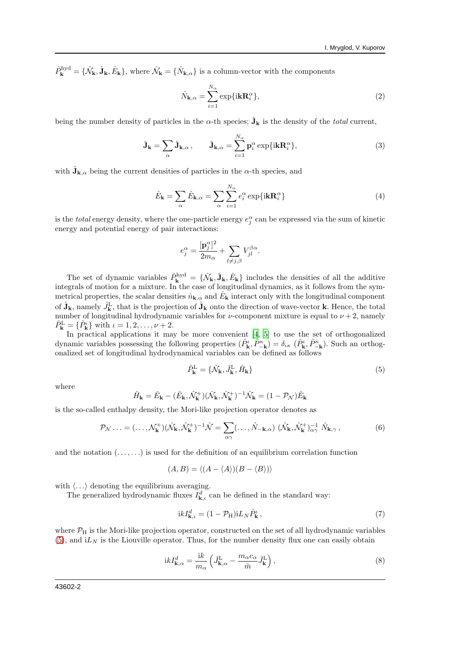$\hat{P}_{\mathbf{k}}^{\text{hyd}} = \{\hat{N}_{\mathbf{k}}, \hat{\mathbf{J}}_{\mathbf{k}}, \hat{E}_{\mathbf{k}}\},$  where  $\hat{N}_{\mathbf{k}} = \{\hat{N}_{\mathbf{k},\alpha}\}\$  is a column-vector with the components

$$
\hat{N}_{\mathbf{k},\alpha} = \sum_{i=1}^{N_{\alpha}} \exp{\{i\mathbf{k}\mathbf{R}_{i}^{\alpha}\}},\tag{2}
$$

being the number density of particles in the  $\alpha$ -th species;  $\hat{\mathbf{J}}_{\mathbf{k}}$  is the density of the *total* current,

$$
\hat{\mathbf{J}}_{\mathbf{k}} = \sum_{\alpha} \hat{\mathbf{J}}_{\mathbf{k},\alpha}, \qquad \hat{\mathbf{J}}_{\mathbf{k},\alpha} = \sum_{i=1}^{N_{\alpha}} \mathbf{p}_{i}^{\alpha} \exp{\{i\mathbf{k}\mathbf{R}_{i}^{\alpha}\}},
$$
\n(3)

with  $\hat{\mathbf{J}}_{\mathbf{k},\alpha}$  being the current densities of particles in the  $\alpha$ -th species, and

$$
\hat{E}_{\mathbf{k}} = \sum_{\alpha} \hat{E}_{\mathbf{k}, \alpha} = \sum_{\alpha} \sum_{i=1}^{N_{\alpha}} e_i^{\alpha} \exp{\{i\mathbf{k}\mathbf{R}_i^{\alpha}\}}
$$
(4)

is the *total* energy density, where the one-particle energy  $e_j^{\alpha}$  can be expressed via the sum of kinetic energy and potential energy of pair interactions:

$$
e_j^\alpha = \frac{[{\bf p}^\alpha_j]^2}{2m_\alpha} + \sum_{l\neq j,\beta} V_{jl}^{\beta\alpha}.
$$

The set of dynamic variables  $\hat{P}_{\mathbf{k}}^{\text{hyd}} = \{\hat{\mathcal{N}}_{\mathbf{k}}, \hat{\mathbf{J}}_{\mathbf{k}}, \hat{E}_{\mathbf{k}}\}\$ includes the densities of all the additive integrals of motion for a mixture. In the case of longitudinal dynamics, as it follows from the symmetrical properties, the scalar densities  $\hat{n}_{\mathbf{k},\alpha}$  and  $\hat{E}_{\mathbf{k}}$  interact only with the longitudinal component of  $\hat{\mathbf{J}}_{\mathbf{k}}$ , namely  $\hat{J}_{\mathbf{k}}^{\text{L}}$ , that is the projection of  $\hat{\mathbf{J}}_{\mathbf{k}}$  onto the direction of wave-vector **k**. Hence, the total number of longitudinal hydrodynamic variables for  $\nu$ -component mixture is equal to  $\nu + 2$ , namely  $\hat{P}_{\mathbf{k}}^{\text{L}} = {\hat{P}_{\mathbf{k}}^{\iota}}$  with  $\iota = 1, 2, ..., \nu + 2$ .

In practical applications it may be more convenient [\[4,](#page-6-3) [5\]](#page-6-4) to use the set of orthogonalized dynamic variables possessing the following properties  $(\hat{P}_{\mathbf{k}}^{\iota}, \hat{P}_{-\mathbf{k}}^{\kappa}) = \delta_{\iota\kappa} (\hat{P}_{\mathbf{k}}^{\iota}, \hat{P}_{-\mathbf{k}}^{\kappa})$ . Such an orthogonalized set of longitudinal hydrodynamical variables can be defined as follows

<span id="page-1-0"></span>
$$
\hat{P}_{\mathbf{k}}^{\mathrm{L}} = \{\hat{\mathcal{N}}_{\mathbf{k}}, \hat{J}_{\mathbf{k}}^{\mathrm{L}}, \hat{H}_{\mathbf{k}}\}\tag{5}
$$

where

$$
\hat{H}_{\mathbf{k}} = \hat{E}_{\mathbf{k}} - (\hat{E}_{\mathbf{k}}, \hat{\mathcal{N}}_{\mathbf{k}}^{+})(\hat{\mathcal{N}}_{\mathbf{k}}, \hat{\mathcal{N}}_{\mathbf{k}}^{+})^{-1}\hat{\mathcal{N}}_{\mathbf{k}} = (1 - \mathcal{P}_{\mathcal{N}})\hat{E}_{\mathbf{k}}
$$

is the so-called enthalpy density, the Mori-like projection operator denotes as

$$
\mathcal{P}_{\mathcal{N}}\ldots = (\ldots, \mathcal{N}_{\mathbf{k}}^{+})(\hat{\mathcal{N}}_{\mathbf{k}}, \hat{\mathcal{N}}_{\mathbf{k}}^{+})^{-1}\hat{\mathcal{N}} = \sum_{\alpha\gamma}(\ldots, \hat{N}_{-\mathbf{k},\alpha})\;(\hat{\mathcal{N}}_{\mathbf{k}}, \hat{\mathcal{N}}_{\mathbf{k}}^{+})_{\alpha\gamma}^{-1}\;\hat{N}_{\mathbf{k},\gamma}\,,\tag{6}
$$

and the notation  $(\ldots, \ldots)$  is used for the definition of an equilibrium correlation function

$$
(A, B) = \langle (A - \langle A \rangle)(B - \langle B \rangle) \rangle
$$

with  $\langle \ldots \rangle$  denoting the equilibrium averaging.

The generalized hydrodynamic fluxes  $I_{\mathbf{k},\iota}^d$  can be defined in the standard way:

$$
ikI_{\mathbf{k},\iota}^{d} = (1 - \mathcal{P}_{\mathbf{H}})iL_{N}\hat{P}_{\mathbf{k}}^{\iota}, \qquad (7)
$$

where  $P_H$  is the Mori-like projection operator, constructed on the set of all hydrodynamic variables  $(5)$ , and  $iL_N$  is the Liouville operator. Thus, for the number density flux one can easily obtain

<span id="page-1-1"></span>
$$
ikI_{\mathbf{k},\alpha}^{d} = \frac{ik}{m_{\alpha}} \left( \hat{J}_{\mathbf{k},\alpha}^{\mathbf{L}} - \frac{m_{\alpha}c_{\alpha}}{\bar{m}} \hat{J}_{\mathbf{k}}^{\mathbf{L}} \right),
$$
\n(8)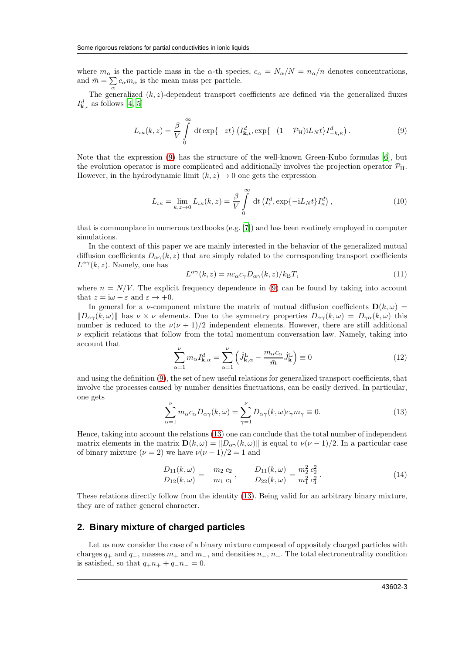where  $m_{\alpha}$  is the particle mass in the  $\alpha$ -th species,  $c_{\alpha} = N_{\alpha}/N = n_{\alpha}/n$  denotes concentrations, and  $\bar{m} = \sum_{\alpha} c_{\alpha} m_{\alpha}$  is the mean mass per particle.

The generalized  $(k, z)$ -dependent transport coefficients are defined via the generalized fluxes  $I_{\mathbf{k},\iota}^d$  as follows [\[4](#page-6-3), [5](#page-6-4)]

<span id="page-2-0"></span>
$$
L_{\iota\kappa}(k,z) = \frac{\beta}{V} \int\limits_0^\infty dt \exp\{-zt\} \left( I_{\mathbf{k},\iota}^d, \exp\{-(1-\mathcal{P}_{\mathbf{H}})iL_Nt\} I_{-k,\kappa}^d \right). \tag{9}
$$

Note that the expression [\(9\)](#page-2-0) has the structure of the well-known Green-Kubo formulas [\[6\]](#page-6-5), but the evolution operator is more complicated and additionally involves the projection operator  $\mathcal{P}_{H}$ . However, in the hydrodynamic limit  $(k, z) \rightarrow 0$  one gets the expression

$$
L_{\iota\kappa} = \lim_{k,z \to 0} L_{\iota\kappa}(k,z) = \frac{\beta}{V} \int_{0}^{\infty} dt \left( I_{\iota}^{d}, \exp\{-iL_{N}t\} I_{\kappa}^{d} \right), \tag{10}
$$

that is commonplace in numerous textbooks (e.g. [\[7](#page-6-6)]) and has been routinely employed in computer simulations.

In the context of this paper we are mainly interested in the behavior of the generalized mutual diffusion coefficients  $D_{\alpha\gamma}(k, z)$  that are simply related to the corresponding transport coefficients  $L^{\alpha\gamma}(k, z)$ . Namely, one has

<span id="page-2-2"></span>
$$
L^{\alpha\gamma}(k,z) = nc_{\alpha}c_{\gamma}D_{\alpha\gamma}(k,z)/k_{\text{B}}T,
$$
\n(11)

where  $n = N/V$ . The explicit frequency dependence in [\(9\)](#page-2-0) can be found by taking into account that  $z = i\omega + \varepsilon$  and  $\varepsilon \to +0$ .

In general for a *v*-component mixture the matrix of mutual diffusion coefficients  $\mathbf{D}(k,\omega)$  =  $\|D_{\alpha\gamma}(k,\omega)\|$  has  $\nu \times \nu$  elements. Due to the symmetry properties  $D_{\alpha\gamma}(k,\omega) = D_{\gamma\alpha}(k,\omega)$  this number is reduced to the  $\nu(\nu + 1)/2$  independent elements. However, there are still additional  $\nu$  explicit relations that follow from the total momentum conversation law. Namely, taking into account that

$$
\sum_{\alpha=1}^{\nu} m_{\alpha} I_{\mathbf{k},\alpha}^{d} = \sum_{\alpha=1}^{\nu} \left( \hat{J}_{\mathbf{k},\alpha}^{\mathbf{L}} - \frac{m_{\alpha} c_{\alpha}}{\bar{m}} \hat{J}_{\mathbf{k}}^{\mathbf{L}} \right) \equiv 0 \tag{12}
$$

and using the definition [\(9\)](#page-2-0), the set of new useful relations for generalized transport coefficients, that involve the processes caused by number densities fluctuations, can be easily derived. In particular, one gets

<span id="page-2-1"></span>
$$
\sum_{\alpha=1}^{\nu} m_{\alpha} c_{\alpha} D_{\alpha\gamma}(k,\omega) = \sum_{\gamma=1}^{\nu} D_{\alpha\gamma}(k,\omega) c_{\gamma} m_{\gamma} \equiv 0.
$$
 (13)

Hence, taking into account the relations [\(13\)](#page-2-1) one can conclude that the total number of independent matrix elements in the matrix  $\mathbf{D}(k,\omega) = ||D_{\alpha\gamma}(k,\omega)||$  is equal to  $\nu(\nu-1)/2$ . In a particular case of binary mixture  $(\nu = 2)$  we have  $\nu(\nu - 1)/2 = 1$  and

<span id="page-2-3"></span>
$$
\frac{D_{11}(k,\omega)}{D_{12}(k,\omega)} = -\frac{m_2}{m_1} \frac{c_2}{c_1}, \qquad \frac{D_{11}(k,\omega)}{D_{22}(k,\omega)} = \frac{m_2^2}{m_1^2} \frac{c_2^2}{c_1^2}.
$$
\n(14)

These relations directly follow from the identity [\(13\)](#page-2-1). Being valid for an arbitrary binary mixture, they are of rather general character.

## **2. Binary mixture of charged particles**

Let us now consider the case of a binary mixture composed of oppositely charged particles with charges  $q_+$  and  $q_-$ , masses  $m_+$  and  $m_-$ , and densities  $n_+, n_-$ . The total electroneutrality condition is satisfied, so that  $q_+n_+ + q_-n_-=0$ .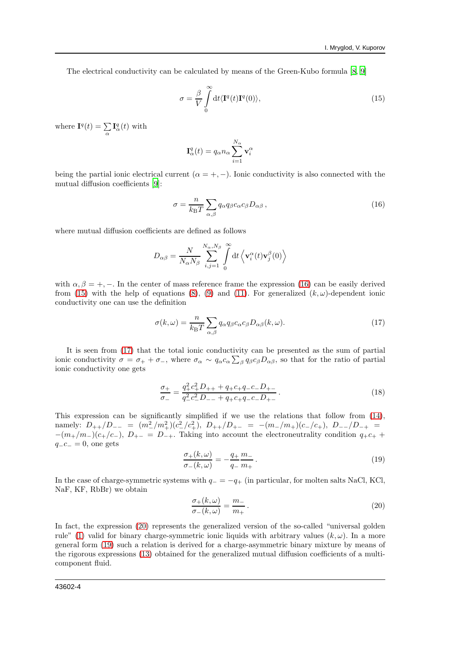The electrical conductivity can be calculated by means of the Green-Kubo formula [\[8,](#page-6-7) [9\]](#page-6-8)

<span id="page-3-1"></span>
$$
\sigma = \frac{\beta}{V} \int_{0}^{\infty} dt \langle \mathbf{I}^{q}(t) \mathbf{I}^{q}(0) \rangle, \qquad (15)
$$

where  $\mathbf{I}^q(t) = \sum_{\alpha} \mathbf{I}^q_{\alpha}(t)$  with

$$
\mathbf{I}_{\alpha}^{q}(t) = q_{\alpha} n_{\alpha} \sum_{i=1}^{N_{\alpha}} \mathbf{v}_{i}^{\alpha}
$$

being the partial ionic electrical current  $(\alpha = +, -)$ . Ionic conductivity is also connected with the mutual diffusion coefficients [\[9](#page-6-8)]:

<span id="page-3-0"></span>
$$
\sigma = \frac{n}{k_{\rm B}T} \sum_{\alpha,\beta} q_{\alpha} q_{\beta} c_{\alpha} c_{\beta} D_{\alpha\beta} , \qquad (16)
$$

where mutual diffusion coefficients are defined as follows

$$
D_{\alpha\beta} = \frac{N}{N_{\alpha}N_{\beta}} \sum_{i,j=1}^{N_{\alpha},N_{\beta}} \int_{0}^{\infty} dt \left\langle \mathbf{v}_{i}^{\alpha}(t)\mathbf{v}_{j}^{\beta}(0) \right\rangle
$$

with  $\alpha, \beta = +, -$ . In the center of mass reference frame the expression [\(16\)](#page-3-0) can be easily derived from [\(15\)](#page-3-1) with the help of equations [\(8\)](#page-1-1), [\(9\)](#page-2-0) and [\(11\)](#page-2-2). For generalized  $(k, \omega)$ -dependent ionic conductivity one can use the definition

<span id="page-3-2"></span>
$$
\sigma(k,\omega) = \frac{n}{k_{\rm B}T} \sum_{\alpha,\beta} q_{\alpha} q_{\beta} c_{\alpha} c_{\beta} D_{\alpha\beta}(k,\omega). \tag{17}
$$

It is seen from [\(17\)](#page-3-2) that the total ionic conductivity can be presented as the sum of partial ionic conductivity  $\sigma = \sigma_+ + \sigma_-$ , where  $\sigma_\alpha \sim q_\alpha c_\alpha \sum_\beta q_\beta c_\beta D_{\alpha\beta}$ , so that for the ratio of partial ionic conductivity one gets

<span id="page-3-5"></span>
$$
\frac{\sigma_{+}}{\sigma_{-}} = \frac{q_{+}^{2}c_{+}^{2}D_{++} + q_{+}c_{+}q_{-}c_{-}D_{+-}}{q_{-}^{2}c_{-}^{2}D_{--} + q_{+}c_{+}q_{-}c_{-}D_{+-}}.
$$
\n(18)

This expression can be significantly simplified if we use the relations that follow from [\(14\)](#page-2-3), namely:  $D_{++}/D_{--} = (m_{-}^{2}/m_{+}^{2})(c_{-}^{2}/c_{+}^{2}), D_{++}/D_{+-} = -(m_{-}/m_{+})(c_{-}/c_{+}), D_{--}/D_{-+} =$  $-(m_{+}/m_{-})(c_{+}/c_{-}), D_{+-} = D_{-+}$ . Taking into account the electroneutrality condition  $q_{+}c_{+}$  +  $q_{-c-} = 0$ , one gets

<span id="page-3-4"></span>
$$
\frac{\sigma_+(k,\omega)}{\sigma_-(k,\omega)} = -\frac{q_+}{q_-} \frac{m_-}{m_+} \,. \tag{19}
$$

In the case of charge-symmetric systems with  $q_$  = −q<sub>+</sub> (in particular, for molten salts NaCl, KCl, NaF, KF, RbBr) we obtain

<span id="page-3-3"></span>
$$
\frac{\sigma_+(k,\omega)}{\sigma_-(k,\omega)} = \frac{m_-}{m_+} \,. \tag{20}
$$

In fact, the expression [\(20\)](#page-3-3) represents the generalized version of the so-called "universal golden" rule" [\(1\)](#page-0-2) valid for binary charge-symmetric ionic liquids with arbitrary values  $(k, \omega)$ . In a more general form [\(19\)](#page-3-4) such a relation is derived for a charge-asymmetric binary mixture by means of the rigorous expressions [\(13\)](#page-2-1) obtained for the generalized mutual diffusion coefficients of a multicomponent fluid.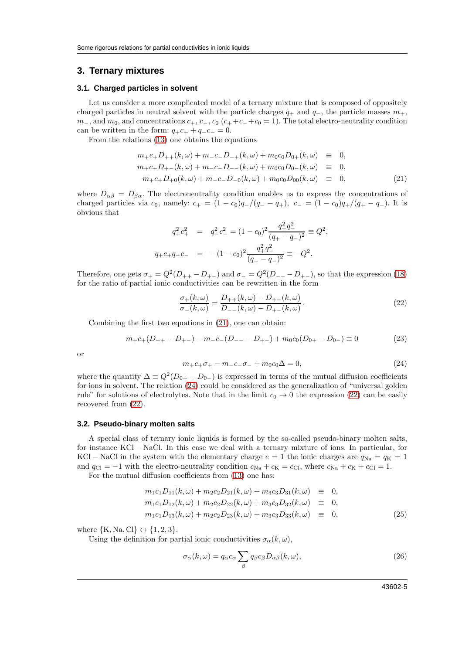#### **3. Ternary mixtures**

#### **3.1. Charged particles in solvent**

Let us consider a more complicated model of a ternary mixture that is composed of oppositely charged particles in neutral solvent with the particle charges  $q_+$  and  $q_-$ , the particle masses  $m_+$ ,  $m_$ , and  $m_0$ , and concentrations  $c_+$ ,  $c_-$ ,  $c_0$  ( $c_+$  +c<sub>−</sub>+c<sub>0</sub> = 1). The total electro-neutrality condition can be written in the form:  $q_{+}c_{+} + q_{-}c_{-} = 0$ .

From the relations [\(13\)](#page-2-1) one obtains the equations

<span id="page-4-0"></span>
$$
m_{+}c_{+}D_{++}(k,\omega) + m_{-}c_{-}D_{-+}(k,\omega) + m_{0}c_{0}D_{0+}(k,\omega) \equiv 0,
$$
  
\n
$$
m_{+}c_{+}D_{+-}(k,\omega) + m_{-}c_{-}D_{--}(k,\omega) + m_{0}c_{0}D_{0-}(k,\omega) \equiv 0,
$$
  
\n
$$
m_{+}c_{+}D_{+0}(k,\omega) + m_{-}c_{-}D_{-0}(k,\omega) + m_{0}c_{0}D_{00}(k,\omega) \equiv 0,
$$
\n(21)

where  $D_{\alpha\beta} = D_{\beta\alpha}$ . The electroneutrality condition enables us to express the concentrations of charged particles via  $c_0$ , namely:  $c_+ = (1 - c_0)q_-/(q_- - q_+), c_- = (1 - c_0)q_+/(q_+ - q_-)$ . It is obvious that

$$
q_+^2 c_+^2 = q_-^2 c_-^2 = (1 - c_0)^2 \frac{q_+^2 q_-^2}{(q_+ - q_-)^2} \equiv Q^2,
$$
  

$$
q_+ c_+ q_- c_- = -(1 - c_0)^2 \frac{q_+^2 q_-^2}{(q_+ - q_-)^2} \equiv -Q^2.
$$

Therefore, one gets  $\sigma_+ = Q^2(D_{++} - D_{+-})$  and  $\sigma_- = Q^2(D_{--} - D_{+-})$ , so that the expression [\(18\)](#page-3-5) for the ratio of partial ionic conductivities can be rewritten in the form

<span id="page-4-2"></span>
$$
\frac{\sigma_{+}(k,\omega)}{\sigma_{-}(k,\omega)} = \frac{D_{++}(k,\omega) - D_{+-}(k,\omega)}{D_{--}(k,\omega) - D_{+-}(k,\omega)}.
$$
\n(22)

Combining the first two equations in [\(21\)](#page-4-0), one can obtain:

$$
m_{+}c_{+}(D_{++}-D_{+-})-m_{-}c_{-}(D_{--}-D_{+-})+m_{0}c_{0}(D_{0+}-D_{0-})\equiv 0 \qquad (23)
$$

or

<span id="page-4-1"></span>
$$
m_{+}c_{+}\sigma_{+}-m_{-}c_{-}\sigma_{-}+m_{0}c_{0}\Delta=0, \qquad (24)
$$

where the quantity  $\Delta \equiv Q^2(D_{0+} - D_{0-})$  is expressed in terms of the mutual diffusion coefficients for ions in solvent. The relation [\(24\)](#page-4-1) could be considered as the generalization of "universal golden rule" for solutions of electrolytes. Note that in the limit  $c_0 \rightarrow 0$  the expression [\(22\)](#page-4-2) can be easily recovered from [\(22\)](#page-4-2).

#### **3.2. Pseudo-binary molten salts**

A special class of ternary ionic liquids is formed by the so-called pseudo-binary molten salts, for instance KCl − NaCl. In this case we deal with a ternary mixture of ions. In particular, for KCl – NaCl in the system with the elementary charge  $e = 1$  the ionic charges are  $q_{\text{Na}} = q_{\text{K}} = 1$ and  $q_{\text{Cl}} = -1$  with the electro-neutrality condition  $c_{\text{Na}} + c_{\text{K}} = c_{\text{Cl}}$ , where  $c_{\text{Na}} + c_{\text{K}} + c_{\text{Cl}} = 1$ .

For the mutual diffusion coefficients from [\(13\)](#page-2-1) one has:

<span id="page-4-3"></span>
$$
m_1c_1D_{11}(k,\omega) + m_2c_2D_{21}(k,\omega) + m_3c_3D_{31}(k,\omega) \equiv 0,
$$
  
\n
$$
m_1c_1D_{12}(k,\omega) + m_2c_2D_{22}(k,\omega) + m_3c_3D_{32}(k,\omega) \equiv 0,
$$
  
\n
$$
m_1c_1D_{13}(k,\omega) + m_2c_2D_{23}(k,\omega) + m_3c_3D_{33}(k,\omega) \equiv 0,
$$
\n(25)

where  $\{K, Na, Cl\} \leftrightarrow \{1, 2, 3\}.$ 

Using the definition for partial ionic conductivities  $\sigma_{\alpha}(k,\omega)$ ,

<span id="page-4-4"></span>
$$
\sigma_{\alpha}(k,\omega) = q_{\alpha}c_{\alpha} \sum_{\beta} q_{\beta}c_{\beta}D_{\alpha\beta}(k,\omega),
$$
\n(26)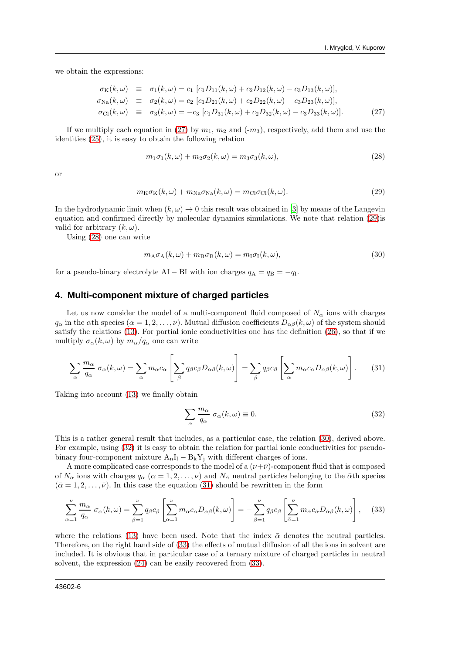we obtain the expressions:

<span id="page-5-0"></span>
$$
\begin{array}{rcl}\n\sigma_{\text{K}}(k,\omega) & \equiv & \sigma_{1}(k,\omega) = c_{1} \left[ c_{1}D_{11}(k,\omega) + c_{2}D_{12}(k,\omega) - c_{3}D_{13}(k,\omega) \right], \\
\sigma_{\text{Na}}(k,\omega) & \equiv & \sigma_{2}(k,\omega) = c_{2} \left[ c_{1}D_{21}(k,\omega) + c_{2}D_{22}(k,\omega) - c_{3}D_{23}(k,\omega) \right], \\
\sigma_{\text{Cl}}(k,\omega) & \equiv & \sigma_{3}(k,\omega) = -c_{3} \left[ c_{1}D_{31}(k,\omega) + c_{2}D_{32}(k,\omega) - c_{3}D_{33}(k,\omega) \right].\n\end{array} \tag{27}
$$

If we multiply each equation in [\(27\)](#page-5-0) by  $m_1$ ,  $m_2$  and (-m<sub>3</sub>), respectively, add them and use the identities [\(25\)](#page-4-3), it is easy to obtain the following relation

<span id="page-5-2"></span>
$$
m_1\sigma_1(k,\omega) + m_2\sigma_2(k,\omega) = m_3\sigma_3(k,\omega),\tag{28}
$$

or

<span id="page-5-1"></span>
$$
m_{\rm K}\sigma_{\rm K}(k,\omega) + m_{\rm Na}\sigma_{\rm Na}(k,\omega) = m_{\rm Cl}\sigma_{\rm Cl}(k,\omega). \tag{29}
$$

In the hydrodynamic limit when  $(k, \omega) \rightarrow 0$  this result was obtained in [\[3](#page-6-2)] by means of the Langevin equation and confirmed directly by molecular dynamics simulations. We note that relation [\(29\)](#page-5-1)is valid for arbitrary  $(k, \omega)$ .

Using [\(28\)](#page-5-2) one can write

<span id="page-5-3"></span>
$$
m_{A}\sigma_{A}(k,\omega) + m_{B}\sigma_{B}(k,\omega) = m_{I}\sigma_{I}(k,\omega), \qquad (30)
$$

for a pseudo-binary electrolyte AI – BI with ion charges  $q_A = q_B = -q_I$ .

#### **4. Multi-component mixture of charged particles**

Let us now consider the model of a multi-component fluid composed of  $N_{\alpha}$  ions with charges  $q_\alpha$  in the  $\alpha$ th species  $(\alpha = 1, 2, \ldots, \nu)$ . Mutual diffusion coefficients  $D_{\alpha\beta}(k, \omega)$  of the system should satisfy the relations [\(13\)](#page-2-1). For partial ionic conductivities one has the definition [\(26\)](#page-4-4), so that if we multiply  $\sigma_{\alpha}(k,\omega)$  by  $m_{\alpha}/q_{\alpha}$  one can write

<span id="page-5-5"></span>
$$
\sum_{\alpha} \frac{m_{\alpha}}{q_{\alpha}} \sigma_{\alpha}(k,\omega) = \sum_{\alpha} m_{\alpha} c_{\alpha} \left[ \sum_{\beta} q_{\beta} c_{\beta} D_{\alpha\beta}(k,\omega) \right] = \sum_{\beta} q_{\beta} c_{\beta} \left[ \sum_{\alpha} m_{\alpha} c_{\alpha} D_{\alpha\beta}(k,\omega) \right].
$$
 (31)

Taking into account [\(13\)](#page-2-1) we finally obtain

<span id="page-5-4"></span>
$$
\sum_{\alpha} \frac{m_{\alpha}}{q_{\alpha}} \sigma_{\alpha}(k,\omega) \equiv 0. \tag{32}
$$

This is a rather general result that includes, as a particular case, the relation [\(30\)](#page-5-3), derived above. For example, using [\(32\)](#page-5-4) it is easy to obtain the relation for partial ionic conductivities for pseudobinary four-component mixture  $A_nI_1 - B_kY_i$  with different charges of ions.

A more complicated case corresponds to the model of a  $(\nu+\bar{\nu})$ -component fluid that is composed of  $N_{\alpha}$  ions with charges  $q_{\alpha}$  ( $\alpha = 1, 2, \ldots, \nu$ ) and  $N_{\overline{\alpha}}$  neutral particles belonging to the  $\overline{\alpha}$ th species  $(\bar{\alpha}=1,2,\ldots,\bar{\nu})$ . In this case the equation [\(31\)](#page-5-5) should be rewritten in the form

<span id="page-5-6"></span>
$$
\sum_{\alpha=1}^{\nu} \frac{m_{\alpha}}{q_{\alpha}} \sigma_{\alpha}(k,\omega) = \sum_{\beta=1}^{\nu} q_{\beta} c_{\beta} \left[ \sum_{\alpha=1}^{\nu} m_{\alpha} c_{\alpha} D_{\alpha\beta}(k,\omega) \right] = - \sum_{\beta=1}^{\nu} q_{\beta} c_{\beta} \left[ \sum_{\bar{\alpha}=1}^{\bar{\nu}} m_{\bar{\alpha}} c_{\bar{\alpha}} D_{\bar{\alpha}\beta}(k,\omega) \right], \quad (33)
$$

where the relations [\(13\)](#page-2-1) have been used. Note that the index  $\bar{\alpha}$  denotes the neutral particles. Therefore, on the right hand side of [\(33\)](#page-5-6) the effects of mutual diffusion of all the ions in solvent are included. It is obvious that in particular case of a ternary mixture of charged particles in neutral solvent, the expression [\(24\)](#page-4-1) can be easily recovered from [\(33\)](#page-5-6).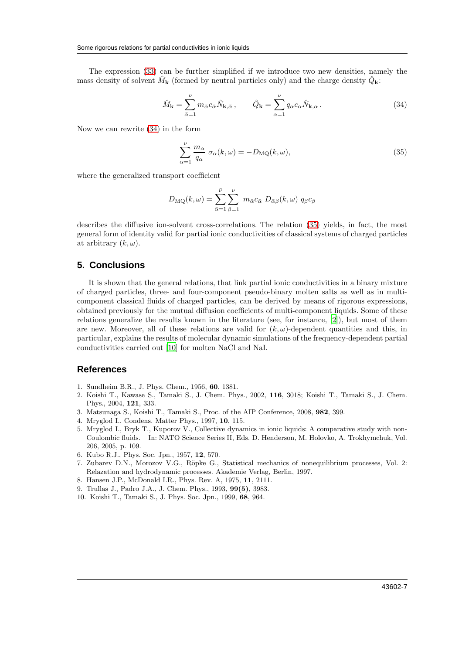The expression [\(33\)](#page-5-6) can be further simplified if we introduce two new densities, namely the mass density of solvent  $\hat{M}_{\mathbf{k}}$  (formed by neutral particles only) and the charge density  $\hat{Q}_{\mathbf{k}}$ :

<span id="page-6-9"></span>
$$
\hat{M}_{\mathbf{k}} = \sum_{\bar{\alpha}=1}^{\bar{\nu}} m_{\bar{\alpha}} c_{\bar{\alpha}} \hat{N}_{\mathbf{k},\bar{\alpha}}, \qquad \hat{Q}_{\mathbf{k}} = \sum_{\alpha=1}^{\nu} q_{\alpha} c_{\alpha} \hat{N}_{\mathbf{k},\alpha}.
$$
\n(34)

Now we can rewrite [\(34\)](#page-6-9) in the form

<span id="page-6-10"></span>
$$
\sum_{\alpha=1}^{\nu} \frac{m_{\alpha}}{q_{\alpha}} \sigma_{\alpha}(k,\omega) = -D_{\rm MQ}(k,\omega), \tag{35}
$$

where the generalized transport coefficient

$$
D_{\rm MQ}(k,\omega)=\sum_{\bar{\alpha}=1}^{\bar{\nu}}\sum_{\beta=1}^{\nu} m_{\bar{\alpha}}c_{\bar{\alpha}} D_{\bar{\alpha}\beta}(k,\omega) q_{\beta}c_{\beta}
$$

describes the diffusive ion-solvent cross-correlations. The relation [\(35\)](#page-6-10) yields, in fact, the most general form of identity valid for partial ionic conductivities of classical systems of charged particles at arbitrary  $(k, \omega)$ .

#### **5. Conclusions**

It is shown that the general relations, that link partial ionic conductivities in a binary mixture of charged particles, three- and four-component pseudo-binary molten salts as well as in multicomponent classical fluids of charged particles, can be derived by means of rigorous expressions, obtained previously for the mutual diffusion coefficients of multi-component liquids. Some of these relations generalize the results known in the literature (see, for instance, [\[2\]](#page-6-1)), but most of them are new. Moreover, all of these relations are valid for  $(k, \omega)$ -dependent quantities and this, in particular, explains the results of molecular dynamic simulations of the frequency-dependent partial conductivities carried out [\[10](#page-6-11)] for molten NaCl and NaI.

## **References**

- <span id="page-6-0"></span>1. Sundheim B.R., J. Phys. Chem., 1956, 60, 1381.
- <span id="page-6-1"></span>2. Koishi T., Kawase S., Tamaki S., J. Chem. Phys., 2002, 116, 3018; Koishi T., Tamaki S., J. Chem. Phys., 2004, 121, 333.
- <span id="page-6-2"></span>3. Matsunaga S., Koishi T., Tamaki S., Proc. of the AIP Conference, 2008, 982, 399.
- <span id="page-6-3"></span>4. Mryglod I., Condens. Matter Phys., 1997, 10, 115.
- <span id="page-6-4"></span>5. Mryglod I., Bryk T., Kuporov V., Collective dynamics in ionic liquids: A comparative study with non-Coulombic fluids. – In: NATO Science Series II, Eds. D. Henderson, M. Holovko, A. Trokhymchuk, Vol. 206, 2005, p. 109.
- <span id="page-6-5"></span>6. Kubo R.J., Phys. Soc. Jpn., 1957, 12, 570.
- <span id="page-6-6"></span>7. Zubarev D.N., Morozov V.G., Röpke G., Statistical mechanics of nonequilibrium processes, Vol. 2: Relazation and hydrodynamic processes. Akademie Verlag, Berlin, 1997.
- <span id="page-6-7"></span>8. Hansen J.P., McDonald I.R., Phys. Rev. A, 1975, 11, 2111.
- <span id="page-6-8"></span>9. Trullas J., Padro J.A., J. Chem. Phys., 1993, 99(5), 3983.
- <span id="page-6-11"></span>10. Koishi T., Tamaki S., J. Phys. Soc. Jpn., 1999, 68, 964.